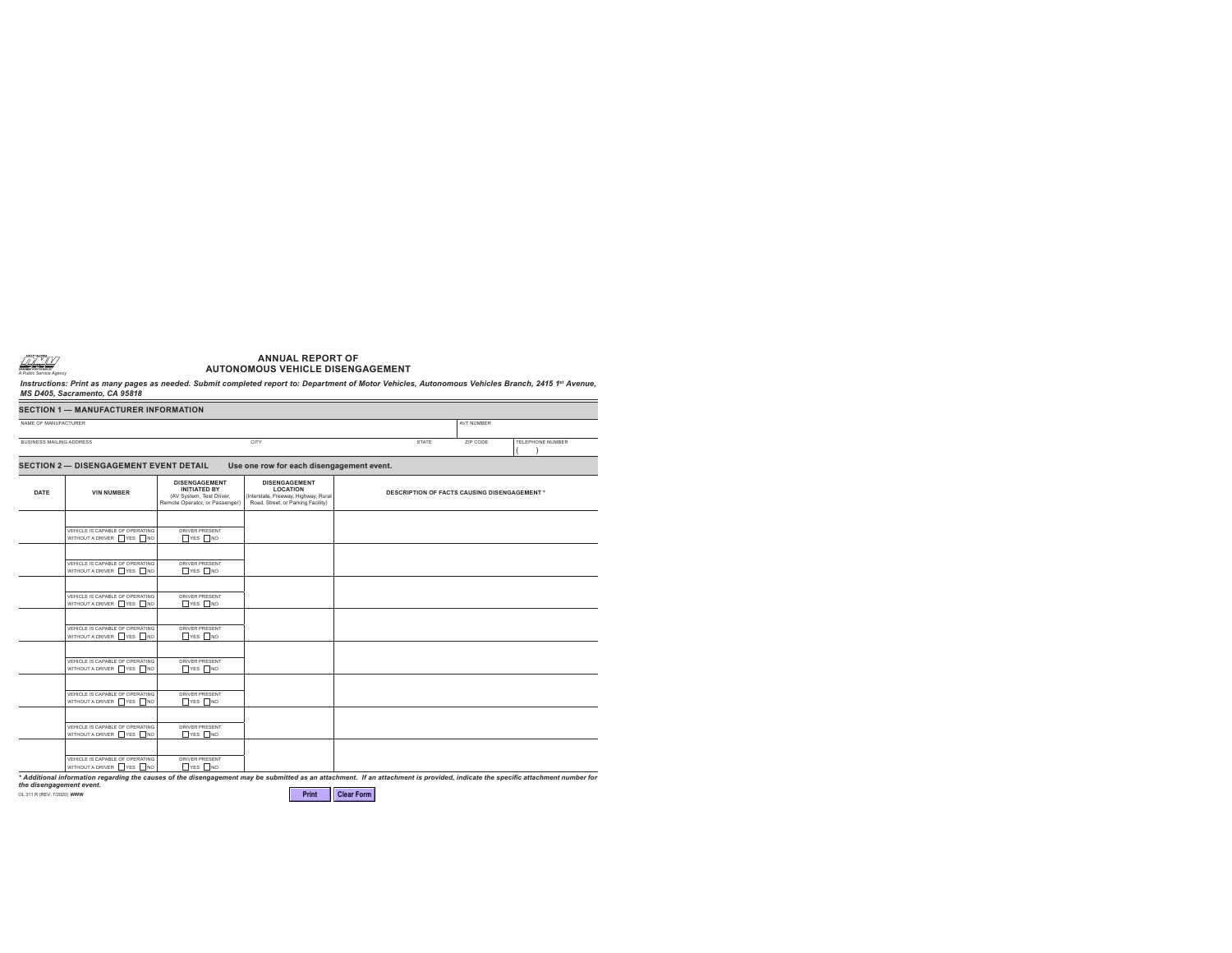

## **ANNUAL REPORT OF AUTONOMOUS VEHICLE DISENGAGEMENT**

Instructions: Print as many pages as needed. Submit completed report to: Department of Motor Vehicles, Autonomous Vehicles Branch, 2415 1<sup>st</sup> Avenue, *MS D405, Sacramento, CA 95818*

| <b>SECTION 1 - MANUFACTURER INFORMATION</b> |                                                            |                                                                                                           |                                                                                                                       |                                                     |                   |  |  |  |  |
|---------------------------------------------|------------------------------------------------------------|-----------------------------------------------------------------------------------------------------------|-----------------------------------------------------------------------------------------------------------------------|-----------------------------------------------------|-------------------|--|--|--|--|
| NAME OF MANUFACTURER                        |                                                            |                                                                                                           |                                                                                                                       |                                                     | <b>AVT NUMBER</b> |  |  |  |  |
| <b>BUSINESS MAILING ADDRESS</b>             |                                                            |                                                                                                           | <b>CITY</b>                                                                                                           | <b>STATE</b><br>ZIP CODE<br><b>TELEPHONE NUMBER</b> |                   |  |  |  |  |
|                                             | <b>SECTION 2- DISENGAGEMENT EVENT DETAIL</b>               |                                                                                                           | Use one row for each disengagement event.                                                                             |                                                     |                   |  |  |  |  |
| <b>DATE</b>                                 | <b>VIN NUMBER</b>                                          | <b>DISENGAGEMENT</b><br><b>INITIATED BY</b><br>(AV System, Test Driver,<br>Remote Operator, or Passenger) | <b>DISENGAGEMENT</b><br><b>LOCATION</b><br>(Interstate, Freeway, Highway, Rural<br>Road, Street, or Parking Facility) | <b>DESCRIPTION OF FACTS CAUSING DISENGAGEMENT *</b> |                   |  |  |  |  |
|                                             | VEHICLE IS CAPABLE OF OPERATING<br>WITHOUT A DRIVER YES NO | <b>DRIVER PRESENT</b><br>$\Box$ YES $\Box$ NO                                                             |                                                                                                                       |                                                     |                   |  |  |  |  |
|                                             |                                                            |                                                                                                           |                                                                                                                       |                                                     |                   |  |  |  |  |
|                                             | VEHICLE IS CAPABLE OF OPERATING<br>WITHOUT A DRIVER YES NO | <b>DRIVER PRESENT</b><br>$\Box$ YES $\Box$ NO                                                             |                                                                                                                       |                                                     |                   |  |  |  |  |
|                                             | VEHICLE IS CAPABLE OF OPERATING<br>WITHOUT A DRIVER YES NO | DRIVER PRESENT<br>$\Box$ YES $\Box$ NO                                                                    |                                                                                                                       |                                                     |                   |  |  |  |  |
|                                             | VEHICLE IS CAPABLE OF OPERATING<br>WITHOUT A DRIVER YES NO | <b>DRIVER PRESENT</b><br>$\Box$ YES $\Box$ NO                                                             |                                                                                                                       |                                                     |                   |  |  |  |  |
|                                             |                                                            |                                                                                                           |                                                                                                                       |                                                     |                   |  |  |  |  |
|                                             | VEHICLE IS CAPABLE OF OPERATING<br>WITHOUT A DRIVER YES NO | <b>DRIVER PRESENT</b><br>$\Box$ YES $\Box$ NO                                                             |                                                                                                                       |                                                     |                   |  |  |  |  |
|                                             | VEHICLE IS CAPABLE OF OPERATING<br>WITHOUT A DRIVER YES NO | DRIVER PRESENT<br>$\Box$ YES $\Box$ NO                                                                    |                                                                                                                       |                                                     |                   |  |  |  |  |
|                                             | VEHICLE IS CAPABLE OF OPERATING<br>WITHOUT A DRIVER YES NO | <b>DRIVER PRESENT</b><br>$\Box$ YES $\Box$ NO                                                             |                                                                                                                       |                                                     |                   |  |  |  |  |
|                                             | VEHICLE IS CAPABLE OF OPERATING                            | <b>DRIVER PRESENT</b>                                                                                     |                                                                                                                       |                                                     |                   |  |  |  |  |
|                                             | WITHOUT A DRIVER YES NO                                    | $\Box$ YES $\Box$ NO                                                                                      |                                                                                                                       |                                                     |                   |  |  |  |  |

*\* Additional information regarding the causes of the disengagement may be submitted as an attachment. If an attachment is provided, indicate the specific attachment number for the disengagement event.*